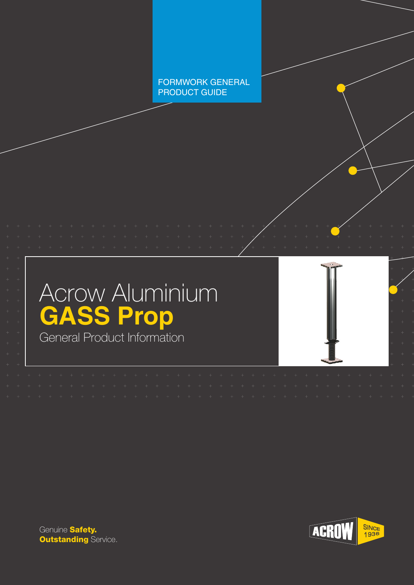FORMWORK GENERAL PRODUCT GUIDE





Genuine **Safety. Outstanding Service.** 

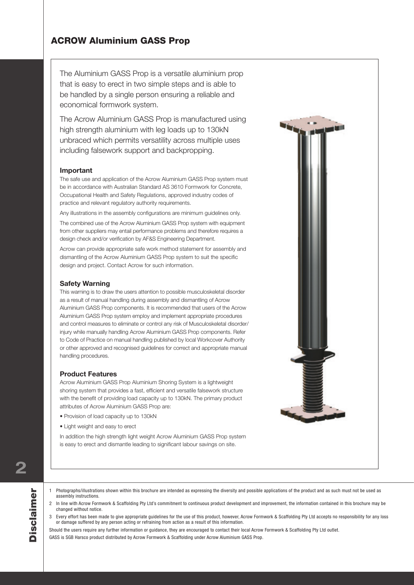The Aluminium GASS Prop is a versatile aluminium prop that is easy to erect in two simple steps and is able to be handled by a single person ensuring a reliable and economical formwork system.

The Acrow Aluminium GASS Prop is manufactured using high strength aluminium with leg loads up to 130kN unbraced which permits versatility across multiple uses including falsework support and backpropping.

#### **Important**

The safe use and application of the Acrow Aluminium GASS Prop system must be in accordance with Australian Standard AS 3610 Formwork for Concrete, Occupational Health and Safety Regulations, approved industry codes of practice and relevant regulatory authority requirements.

Any illustrations in the assembly configurations are minimum guidelines only.

The combined use of the Acrow Aluminium GASS Prop system with equipment from other suppliers may entail performance problems and therefore requires a design check and/or verification by AF&S Engineering Department.

Acrow can provide appropriate safe work method statement for assembly and dismantling of the Acrow Aluminium GASS Prop system to suit the specific design and project. Contact Acrow for such information.

#### **Safety Warning**

This warning is to draw the users attention to possible musculoskeletal disorder as a result of manual handling during assembly and dismantling of Acrow Aluminium GASS Prop components. It is recommended that users of the Acrow Aluminium GASS Prop system employ and implement appropriate procedures and control measures to eliminate or control any risk of Musculoskeletal disorder/ injury while manually handling Acrow Aluminium GASS Prop components. Refer to Code of Practice on manual handling published by local Workcover Authority or other approved and recognised guidelines for correct and appropriate manual handling procedures.

#### **Product Features**

Acrow Aluminium GASS Prop Aluminium Shoring System is a lightweight shoring system that provides a fast, efficient and versatile falsework structure with the benefit of providing load capacity up to 130kN. The primary product attributes of Acrow Aluminium GASS Prop are:

- Provision of load capacity up to 130kN
- Light weight and easy to erect

In addition the high strength light weight Acrow Aluminium GASS Prop system is easy to erect and dismantle leading to significant labour savings on site.



**2**

- 1 Photographs/illustrations shown within this brochure are intended as expressing the diversity and possible applications of the product and as such must not be used as assembly instructions.
- 2 In line with Acrow Formwork & Scaffolding Pty Ltd's commitment to continuous product development and improvement, the information contained in this brochure may be changed without notice.
- 3 Every effort has been made to give appropriate guidelines for the use of this product, however, Acrow Formwork & Scaffolding Pty Ltd accepts no responsibility for any loss or damage suffered by any person acting or refraining from action as a result of this information.

Should the users require any further information or guidance, they are encouraged to contact their local Acrow Formwork & Scaffolding Pty Ltd outlet.

GASS is SGB Harsco product distributed by Acrow Formwork & Scaffolding under Acrow Aluminium GASS Prop.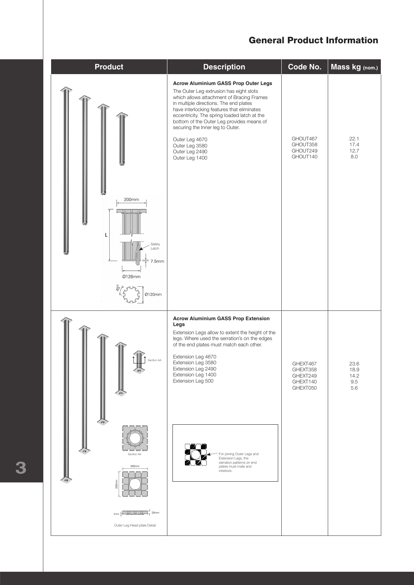### General Product Information

| <b>Product</b>                                                                                                                     | <b>Description</b>                                                                                                                                                                                                                                                                                                                                                                                                                       | Code No.                                                 | Mass kg (nom.)                         |
|------------------------------------------------------------------------------------------------------------------------------------|------------------------------------------------------------------------------------------------------------------------------------------------------------------------------------------------------------------------------------------------------------------------------------------------------------------------------------------------------------------------------------------------------------------------------------------|----------------------------------------------------------|----------------------------------------|
| 200mm<br>L<br>Safety<br>Latch<br>7.5mm<br>Ø126mm<br>Ø120mm                                                                         | <b>Acrow Aluminium GASS Prop Outer Legs</b><br>The Outer Leg extrusion has eight slots<br>which allows attachment of Bracing Frames<br>in multiple directions. The end plates<br>have interlocking features that eliminates<br>eccentricity. The spring loaded latch at the<br>bottom of the Outer Leg provides means of<br>securing the Inner leg to Outer.<br>Outer Leg 4670<br>Outer Leg 3580<br>Outer Leg 2490<br>Outer Leg 1400     | GHOUT467<br>GHOUT358<br>GHOUT249<br>GHOUT140             | 22.1<br>17.4<br>12.7<br>8.0            |
| Section AA<br>C dh<br>Section 'AA<br>200mm<br>$200$ mm<br>$\mathbb{I}$ 20mm<br>$\n  mm \frac{1}{1}$<br>Outer Leg Head plate Detail | <b>Acrow Aluminium GASS Prop Extension</b><br>Legs<br>Extension Legs allow to extent the height of the<br>legs. Where used the serration's on the edges<br>of the end plates must match each other.<br>Extension Leg 4670<br>Extension Leg 3580<br>Extension Leg 2490<br>Extension Leg 1400<br>Extension Leg 500<br>For joining Outer Legs and<br>Extension Legs, the<br>serration patterns on end<br>plates must mate and<br>interlock. | GHEXT467<br>GHEXT358<br>GHEXT249<br>GHEXT140<br>GHEXT050 | 23.6<br>18.9<br>14.2<br>$9.5\,$<br>5.6 |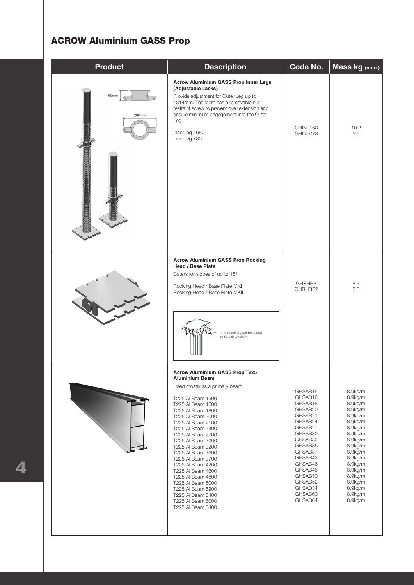# ACROW Aluminium GASS Prop

| <b>Product</b> | <b>Description</b>                                                                                                                                                                                                                                                                                                                                                                                                                                                                                              | Code No.                                                                                                                                                                                                      | Mass kg (nom.)                                                                                                                                                                                                |  |  |  |  |  |
|----------------|-----------------------------------------------------------------------------------------------------------------------------------------------------------------------------------------------------------------------------------------------------------------------------------------------------------------------------------------------------------------------------------------------------------------------------------------------------------------------------------------------------------------|---------------------------------------------------------------------------------------------------------------------------------------------------------------------------------------------------------------|---------------------------------------------------------------------------------------------------------------------------------------------------------------------------------------------------------------|--|--|--|--|--|
| 60mm<br>200mm  | <b>Acrow Aluminium GASS Prop Inner Legs</b><br>(Adjustable Jacks)<br>Provide adjustment for Outer Leg up to<br>1314mm. The stem has a removable nut<br>restraint screw to prevent over extension and<br>ensure minimum engagement into the Outer<br>Leg.<br>Inner leg 1680<br>Inner leg 780                                                                                                                                                                                                                     | GHINL168<br>GHINL078                                                                                                                                                                                          | 10.2<br>5.5                                                                                                                                                                                                   |  |  |  |  |  |
|                | <b>Acrow Aluminium GASS Prop Rocking</b><br><b>Head / Base Plate</b><br>Caters for slopes of up to 15°.<br>Rocking Head / Base Plate MKI<br>Rocking Head / Base Plate MKII<br>4-M12x65 Gr. 8.8 bolts and<br>nuts with washers                                                                                                                                                                                                                                                                                   | <b>GHRHBP</b><br>GHRHBP2                                                                                                                                                                                      | 8.3<br>8.8                                                                                                                                                                                                    |  |  |  |  |  |
|                | <b>Acrow Aluminium GASS Prop T225</b><br><b>Aluminium Beam</b><br>Used mostly as a primary beam.<br>T225 Al Beam 1500<br>T225 Al Beam 1600<br>T225 Al Beam 1800<br>T225 Al Beam 2000<br>T225 Al Beam 2100<br>T225 Al Beam 2400<br>T225 Al Beam 2700<br>T225 Al Beam 3000<br>T225 Al Beam 3200<br>T225 Al Beam 3600<br>T225 Al Beam 3700<br>T225 Al Beam 4200<br>T225 Al Beam 4600<br>T225 Al Beam 4800<br>T225 Al Beam 5000<br>T225 Al Beam 5200<br>T225 Al Beam 5400<br>T225 Al Beam 6000<br>T225 Al Beam 6400 | GHSAB15<br>GHSAB16<br>GHSAB18<br>GHSAB20<br>GHSAB21<br>GHSAB24<br>GHSAB27<br>GHSAB30<br>GHSAB32<br>GHSAB36<br>GHSAB37<br>GHSAB42<br>GHSAB46<br>GHSAB48<br>GHSAB50<br>GHSAB52<br>GHSAB54<br>GHSAB60<br>GHSAB64 | 8.9kg/m<br>8.9kg/m<br>8.9kg/m<br>8.9kg/m<br>8.9kg/m<br>8.9kg/m<br>8.9kg/m<br>8.9kg/m<br>8.9kg/m<br>8.9kg/m<br>8.9kg/m<br>8.9kg/m<br>8.9kg/m<br>8.9kg/m<br>8.9kg/m<br>8.9kg/m<br>8.9kg/m<br>8.9kg/m<br>8.9kg/m |  |  |  |  |  |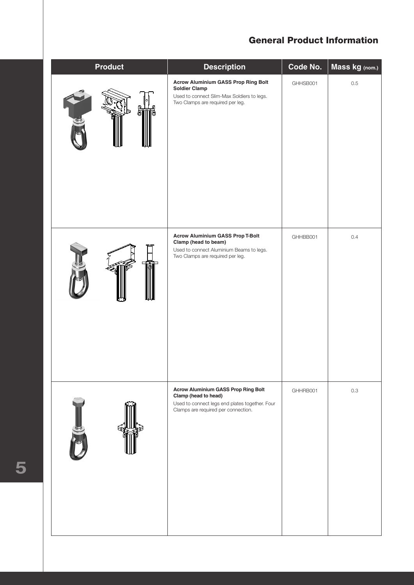### General Product Information

| <b>Product</b> | <b>Description</b>                                                                                                                                          | Code No. | Mass kg (nom.) |  |  |  |  |  |
|----------------|-------------------------------------------------------------------------------------------------------------------------------------------------------------|----------|----------------|--|--|--|--|--|
|                | <b>Acrow Aluminium GASS Prop Ring Bolt</b><br><b>Soldier Clamp</b><br>Used to connect Slim-Max Soldiers to legs.<br>Two Clamps are required per leg.        | GHHSB001 | $0.5\,$        |  |  |  |  |  |
|                | <b>Acrow Aluminium GASS Prop T-Bolt</b><br>Clamp (head to beam)<br>Used to connect Aluminium Beams to legs.<br>Two Clamps are required per leg.             | GHHBB001 | 0.4            |  |  |  |  |  |
|                | <b>Acrow Aluminium GASS Prop Ring Bolt</b><br>Clamp (head to head)<br>Used to connect legs end plates together. Four<br>Clamps are required per connection. | GHHRB001 | $0.3\,$        |  |  |  |  |  |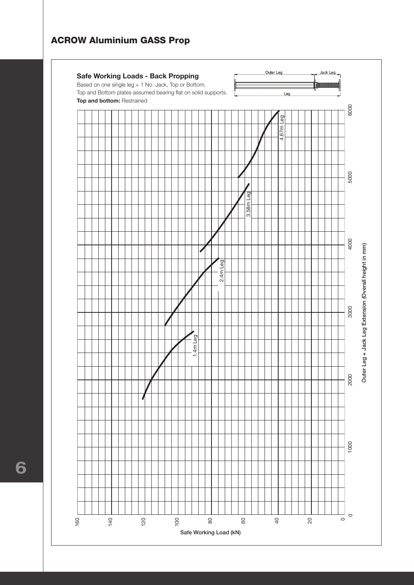

**11 6**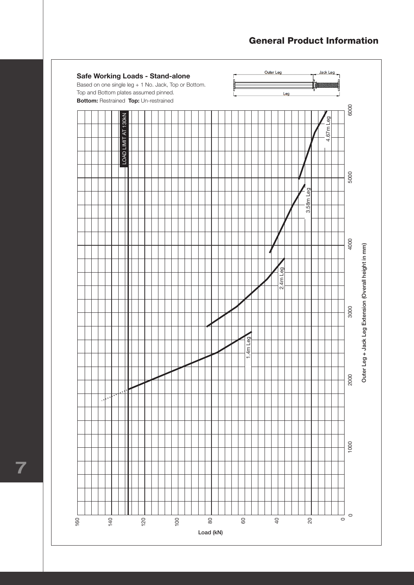### General Product Information



**7**